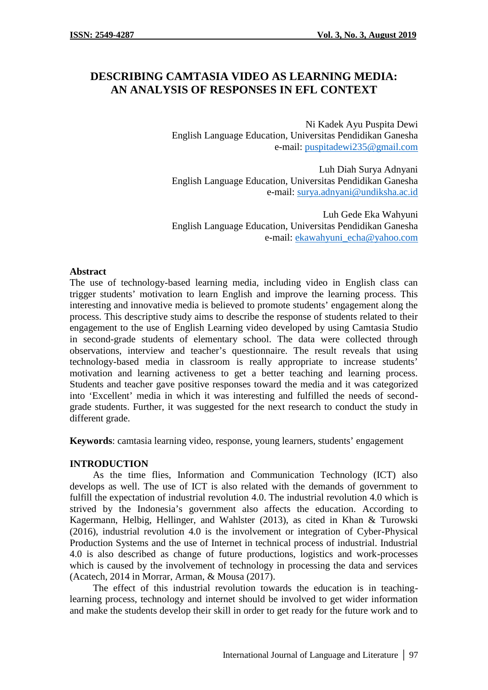# **DESCRIBING CAMTASIA VIDEO AS LEARNING MEDIA: AN ANALYSIS OF RESPONSES IN EFL CONTEXT**

Ni Kadek Ayu Puspita Dewi English Language Education, Universitas Pendidikan Ganesha e-mail: puspitadewi235@gmail.com

Luh Diah Surya Adnyani English Language Education, Universitas Pendidikan Ganesha e-mail: surya.adnyani@undiksha.ac.id

Luh Gede Eka Wahyuni English Language Education, Universitas Pendidikan Ganesha e-mail: ekawahyuni\_echa@yahoo.com

### **Abstract**

The use of technology-based learning media, including video in English class can trigger students' motivation to learn English and improve the learning process. This interesting and innovative media is believed to promote students' engagement along the process. This descriptive study aims to describe the response of students related to their engagement to the use of English Learning video developed by using Camtasia Studio in second-grade students of elementary school. The data were collected through observations, interview and teacher's questionnaire. The result reveals that using technology-based media in classroom is really appropriate to increase students' motivation and learning activeness to get a better teaching and learning process. Students and teacher gave positive responses toward the media and it was categorized into 'Excellent' media in which it was interesting and fulfilled the needs of second grade students. Further, it was suggested for the next research to conduct the study in different grade.

**Keywords**: camtasia learning video, response, young learners, students' engagement

## **INTRODUCTION**

As the time flies, Information and Communication Technology (ICT) also develops as well. The use of ICT is also related with the demands of government to fulfill the expectation of industrial revolution 4.0. The industrial revolution 4.0 which is strived by the Indonesia's government also affects the education. According to Kagermann, Helbig, Hellinger, and Wahlster (2013), as cited in Khan & Turowski (2016), industrial revolution 4.0 is the involvement or integration of Cyber-Physical Production Systems and the use of Internet in technical process of industrial. Industrial 4.0 is also described as change of future productions, logistics and work-processes which is caused by the involvement of technology in processing the data and services (Acatech, 2014 in Morrar, Arman, & Mousa (2017).

The effect of this industrial revolution towards the education is in teachinglearning process, technology and internet should be involved to get wider information and make the students develop their skill in order to get ready for the future work and to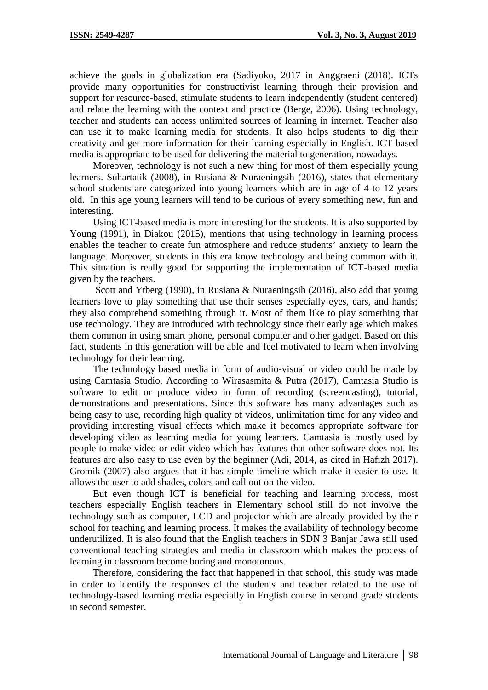achieve the goals in globalization era (Sadiyoko, 2017 in Anggraeni (2018). ICTs provide many opportunities for constructivist learning through their provision and support for resource-based, stimulate students to learn independently (student centered) and relate the learning with the context and practice (Berge, 2006). Using technology, teacher and students can access unlimited sources of learning in internet. Teacher also can use it to make learning media for students. It also helps students to dig their creativity and get more information for their learning especially in English. ICT-based media is appropriate to be used for delivering the material to generation, nowadays.

Moreover, technology is not such a new thing for most of them especially young learners. Suhartatik (2008), in Rusiana & Nuraeningsih (2016), states that elementary school students are categorized into young learners which are in age of 4 to 12 years old. In this age young learners will tend to be curious of every something new, fun and interesting.

Using ICT-based media is more interesting for the students. It is also supported by Young (1991), in Diakou (2015), mentions that using technology in learning process enables the teacher to create fun atmosphere and reduce students' anxiety to learn the language. Moreover, students in this era know technology and being common with it. This situation is really good for supporting the implementation of ICT-based media given by the teachers.

Scott and Ytberg (1990), in Rusiana & Nuraeningsih (2016), also add that young learners love to play something that use their senses especially eyes, ears, and hands; they also comprehend something through it. Most of them like to play something that use technology. They are introduced with technology since their early age which makes them common in using smart phone, personal computer and other gadget. Based on this fact, students in this generation will be able and feel motivated to learn when involving technology for their learning.

The technology based media in form of audio-visual or video could be made by using Camtasia Studio. According to Wirasasmita & Putra (2017), Camtasia Studio is software to edit or produce video in form of recording (screencasting), tutorial, demonstrations and presentations. Since this software has many advantages such as being easy to use, recording high quality of videos, unlimitation time for any video and providing interesting visual effects which make it becomes appropriate software for developing video as learning media for young learners. Camtasia is mostly used by people to make video or edit video which has features that other software does not. Its features are also easy to use even by the beginner (Adi, 2014, as cited in Hafizh 2017). Gromik (2007) also argues that it has simple timeline which make it easier to use. It allows the user to add shades, colors and call out on the video.

But even though ICT is beneficial for teaching and learning process, most teachers especially English teachers in Elementary school still do not involve the technology such as computer, LCD and projector which are already provided by their school for teaching and learning process. It makes the availability of technology become underutilized. It is also found that the English teachers in SDN 3 Banjar Jawa still used conventional teaching strategies and media in classroom which makes the process of learning in classroom become boring and monotonous.

Therefore, considering the fact that happened in that school, this study was made in order to identify the responses of the students and teacher related to the use of technology-based learning media especially in English course in second grade students in second semester.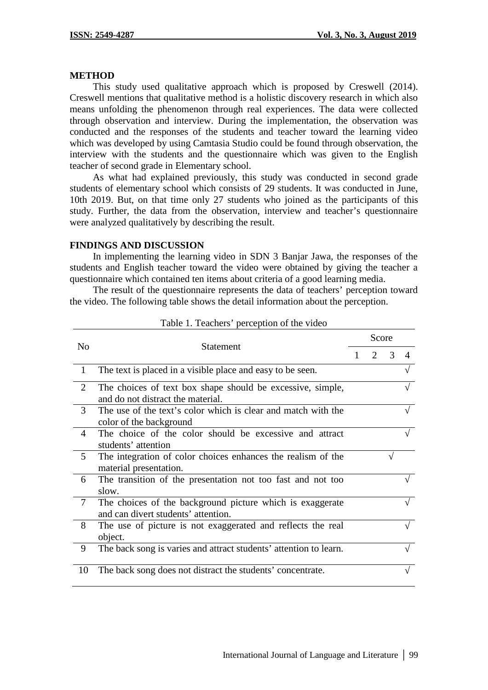#### **METHOD**

This study used qualitative approach which is proposed by Creswell (2014). Creswell mentions that qualitative method is a holistic discovery research in which also means unfolding the phenomenon through real experiences. The data were collected through observation and interview. During the implementation, the observation was conducted and the responses of the students and teacher toward the learning video which was developed by using Camtasia Studio could be found through observation, the interview with the students and the questionnaire which was given to the English teacher of second grade in Elementary school.

As what had explained previously, this study was conducted in second grade students of elementary school which consists of 29 students. It was conducted in June, 10th 2019. But, on that time only 27 students who joined as the participants of this study. Further, the data from the observation, interview and teacher's questionnaire were analyzed qualitatively by describing the result.

#### **FINDINGS AND DISCUSSION**

In implementing the learning video in SDN 3 Banjar Jawa, the responses of the students and English teacher toward the video were obtained by giving the teacher a questionnaire which contained ten items about criteria of a good learning media.

The result of the questionnaire represents the data of teachers' perception toward the video. The following table shows the detail information about the perception.

| N <sub>0</sub> | <b>Statement</b>                                                                                 | Score |                       |               |          |
|----------------|--------------------------------------------------------------------------------------------------|-------|-----------------------|---------------|----------|
|                |                                                                                                  |       | $\mathcal{D}_{\cdot}$ | $\mathcal{R}$ | $\Delta$ |
| $\mathbf{1}$   | The text is placed in a visible place and easy to be seen.                                       |       |                       |               |          |
| 2              | The choices of text box shape should be excessive, simple,<br>and do not distract the material.  |       |                       |               |          |
| 3              | The use of the text's color which is clear and match with the<br>color of the background         |       |                       |               |          |
| $\overline{4}$ | The choice of the color should be excessive and attract<br>students' attention                   |       |                       |               |          |
| 5              | The integration of color choices enhances the realism of the<br>material presentation.           |       |                       |               |          |
| 6              | The transition of the presentation not too fast and not too<br>slow.                             |       |                       |               |          |
| $\tau$         | The choices of the background picture which is exaggerate<br>and can divert students' attention. |       |                       |               |          |
| 8              | The use of picture is not exaggerated and reflects the real<br>object.                           |       |                       |               |          |
| 9              | The back song is varies and attract students' attention to learn.                                |       |                       |               |          |
| 10             | The back song does not distract the students' concentrate.                                       |       |                       |               |          |

Table 1. Teachers' perception of the video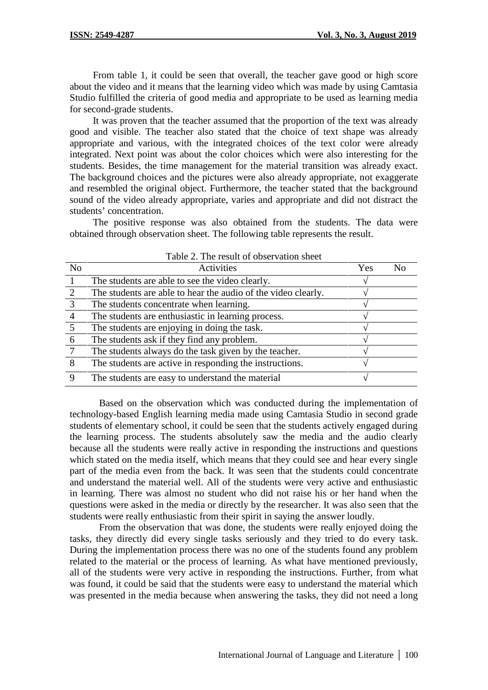From table 1, it could be seen that overall, the teacher gave good or high score about the video and it means that the learning video which was made by using Camtasia Studio fulfilled the criteria of good media and appropriate to be used as learning media for second-grade students.

It was proven that the teacher assumed that the proportion of the text was already good and visible. The teacher also stated that the choice of text shape was already appropriate and various, with the integrated choices of the text color were already integrated. Next point was about the color choices which were also interesting for the students. Besides, the time management for the material transition was already exact. The background choices and the pictures were also already appropriate, not exaggerate and resembled the original object. Furthermore, the teacher stated that the background sound of the video already appropriate, varies and appropriate and did not distract the students' concentration.

The positive response was also obtained from the students. The data were obtained through observation sheet. The following table represents the result.

| Activities                                                    | Yes | N <sub>0</sub>                           |
|---------------------------------------------------------------|-----|------------------------------------------|
| The students are able to see the video clearly.               |     |                                          |
| The students are able to hear the audio of the video clearly. |     |                                          |
| The students concentrate when learning.                       |     |                                          |
| The students are enthusiastic in learning process.            |     |                                          |
| The students are enjoying in doing the task.                  |     |                                          |
| The students ask if they find any problem.                    |     |                                          |
| The students always do the task given by the teacher.         |     |                                          |
| The students are active in responding the instructions.       |     |                                          |
| The students are easy to understand the material              |     |                                          |
|                                                               |     | Table 2. The result of observation sheet |

Based on the observation which was conducted during the implementation of technology-based English learning media made using Camtasia Studio in second grade students of elementary school, it could be seen that the students actively engaged during the learning process. The students absolutely saw the media and the audio clearly because all the students were really active in responding the instructions and questions which stated on the media itself, which means that they could see and hear every single part of the media even from the back. It was seen that the students could concentrate and understand the material well. All of the students were very active and enthusiastic in learning. There was almost no student who did not raise his or her hand when the questions were asked in the media or directly by the researcher. It was also seen that the students were really enthusiastic from their spirit in saying the answer loudly.

From the observation that was done, the students were really enjoyed doing the tasks, they directly did every single tasks seriously and they tried to do every task. During the implementation process there was no one of the students found any problem related to the material or the process of learning. As what have mentioned previously, all of the students were very active in responding the instructions. Further, from what was found, it could be said that the students were easy to understand the material which was presented in the media because when answering the tasks, they did not need a long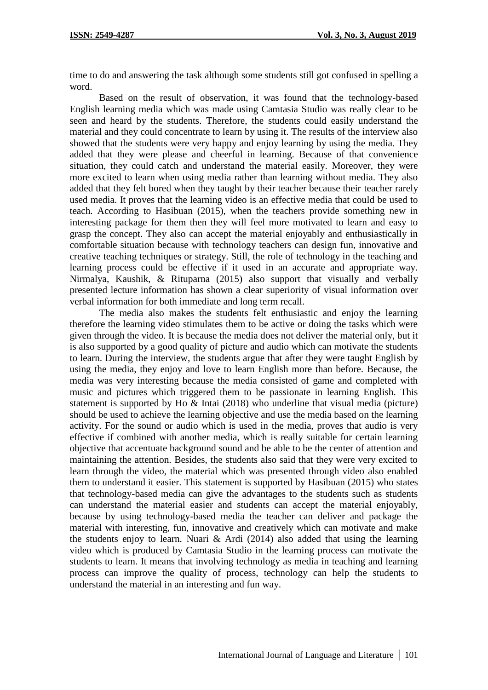time to do and answering the task although some students still got confused in spelling a word.

Based on the result of observation, it was found that the technology-based English learning media which was made using Camtasia Studio was really clear to be seen and heard by the students. Therefore, the students could easily understand the material and they could concentrate to learn by using it. The results of the interview also showed that the students were very happy and enjoy learning by using the media. They added that they were please and cheerful in learning. Because of that convenience situation, they could catch and understand the material easily. Moreover, they were more excited to learn when using media rather than learning without media. They also added that they felt bored when they taught by their teacher because their teacher rarely used media. It proves that the learning video is an effective media that could be used to teach. According to Hasibuan (2015), when the teachers provide something new in interesting package for them then they will feel more motivated to learn and easy to grasp the concept. They also can accept the material enjoyably and enthusiastically in comfortable situation because with technology teachers can design fun, innovative and creative teaching techniques or strategy. Still, the role of technology in the teaching and learning process could be effective if it used in an accurate and appropriate way. Nirmalya, Kaushik, & Rituparna (2015) also support that visually and verbally presented lecture information has shown a clear superiority of visual information over verbal information for both immediate and long term recall.

The media also makes the students felt enthusiastic and enjoy the learning therefore the learning video stimulates them to be active or doing the tasks which were given through the video. It is because the media does not deliver the material only, but it is also supported by a good quality of picture and audio which can motivate the students to learn. During the interview, the students argue that after they were taught English by using the media, they enjoy and love to learn English more than before. Because, the media was very interesting because the media consisted of game and completed with music and pictures which triggered them to be passionate in learning English. This statement is supported by Ho & Intai (2018) who underline that visual media (picture) should be used to achieve the learning objective and use the media based on the learning activity. For the sound or audio which is used in the media, proves that audio is very effective if combined with another media, which is really suitable for certain learning objective that accentuate background sound and be able to be the center of attention and maintaining the attention. Besides, the students also said that they were very excited to learn through the video, the material which was presented through video also enabled them to understand it easier. This statement is supported by Hasibuan (2015) who states that technology-based media can give the advantages to the students such as students can understand the material easier and students can accept the material enjoyably, because by using technology-based media the teacher can deliver and package the material with interesting, fun, innovative and creatively which can motivate and make the students enjoy to learn. Nuari  $\&$  Ardi (2014) also added that using the learning video which is produced by Camtasia Studio in the learning process can motivate the students to learn. It means that involving technology as media in teaching and learning process can improve the quality of process, technology can help the students to understand the material in an interesting and fun way.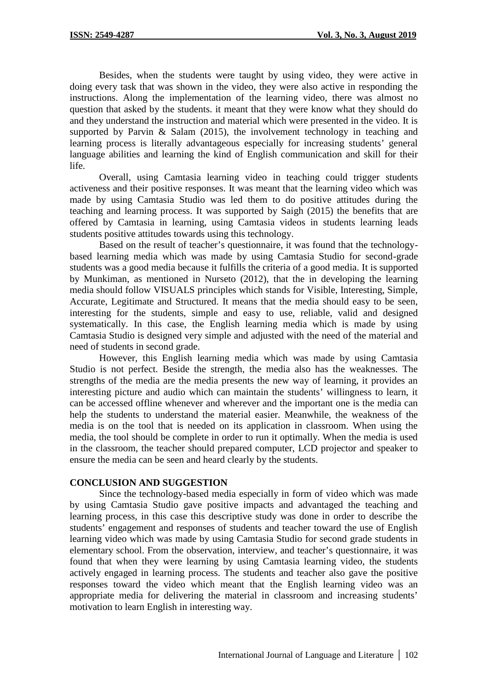Besides, when the students were taught by using video, they were active in doing every task that was shown in the video, they were also active in responding the instructions. Along the implementation of the learning video, there was almost no question that asked by the students. it meant that they were know what they should do and they understand the instruction and material which were presented in the video. It is supported by Parvin  $\&$  Salam (2015), the involvement technology in teaching and learning process is literally advantageous especially for increasing students' general language abilities and learning the kind of English communication and skill for their life.

Overall, using Camtasia learning video in teaching could trigger students activeness and their positive responses. It was meant that the learning video which was made by using Camtasia Studio was led them to do positive attitudes during the teaching and learning process. It was supported by Saigh (2015) the benefits that are offered by Camtasia in learning, using Camtasia videos in students learning leads students positive attitudes towards using this technology.

Based on the result of teacher's questionnaire, it was found that the technology based learning media which was made by using Camtasia Studio for second-grade students was a good media because it fulfills the criteria of a good media. It is supported by Munkiman, as mentioned in Nurseto (2012), that the in developing the learning media should follow VISUALS principles which stands for Visible, Interesting, Simple, Accurate, Legitimate and Structured. It means that the media should easy to be seen, interesting for the students, simple and easy to use, reliable, valid and designed systematically. In this case, the English learning media which is made by using Camtasia Studio is designed very simple and adjusted with the need of the material and need of students in second grade.

However, this English learning media which was made by using Camtasia Studio is not perfect. Beside the strength, the media also has the weaknesses. The strengths of the media are the media presents the new way of learning, it provides an interesting picture and audio which can maintain the students' willingness to learn, it can be accessed offline whenever and wherever and the important one is the media can help the students to understand the material easier. Meanwhile, the weakness of the media is on the tool that is needed on its application in classroom. When using the media, the tool should be complete in order to run it optimally. When the media is used in the classroom, the teacher should prepared computer, LCD projector and speaker to ensure the media can be seen and heard clearly by the students.

### **CONCLUSION AND SUGGESTION**

Since the technology-based media especially in form of video which was made by using Camtasia Studio gave positive impacts and advantaged the teaching and learning process, in this case this descriptive study was done in order to describe the students' engagement and responses of students and teacher toward the use of English learning video which was made by using Camtasia Studio for second grade students in elementary school. From the observation, interview, and teacher's questionnaire, it was found that when they were learning by using Camtasia learning video, the students actively engaged in learning process. The students and teacher also gave the positive responses toward the video which meant that the English learning video was an appropriate media for delivering the material in classroom and increasing students' motivation to learn English in interesting way.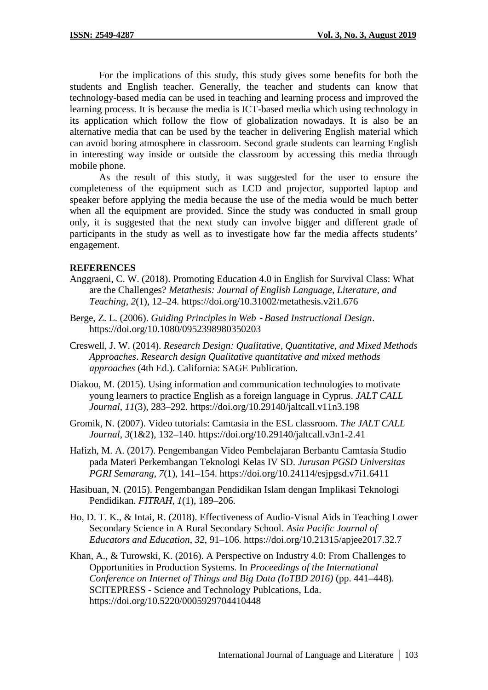For the implications of this study, this study gives some benefits for both the students and English teacher. Generally, the teacher and students can know that technology-based media can be used in teaching and learning process and improved the learning process. It is because the media is ICT-based media which using technology in its application which follow the flow of globalization nowadays. It is also be an alternative media that can be used by the teacher in delivering English material which can avoid boring atmosphere in classroom. Second grade students can learning English in interesting way inside or outside the classroom by accessing this media through mobile phone.

As the result of this study, it was suggested for the user to ensure the completeness of the equipment such as LCD and projector, supported laptop and speaker before applying the media because the use of the media would be much better when all the equipment are provided. Since the study was conducted in small group only, it is suggested that the next study can involve bigger and different grade of participants in the study as well as to investigate how far the media affects students' engagement.

## **REFERENCES**

- Anggraeni, C. W. (2018). Promoting Education 4.0 in English for Survival Class: What are the Challenges? *Metathesis: Journal of English Language, Literature, and Teaching*, *2*(1), 12–24. https://doi.org/10.31002/metathesis.v2i1.676
- Berge, Z. L. (2006). *Guiding Principles in Web ‐ Based Instructional Design*. https://doi.org/10.1080/0952398980350203
- Creswell, J. W. (2014). *Research Design: Qualitative, Quantitative, and Mixed Methods Approaches*. *Research design Qualitative quantitative and mixed methods approaches* (4th Ed.). California: SAGE Publication.
- Diakou, M. (2015). Using information and communication technologies to motivate young learners to practice English as a foreign language in Cyprus. *JALT CALL Journal*, *11*(3), 283–292. https://doi.org/10.29140/jaltcall.v11n3.198
- Gromik, N. (2007). Video tutorials: Camtasia in the ESL classroom. *The JALT CALL Journal*, *3*(1&2), 132–140. https://doi.org/10.29140/jaltcall.v3n1-2.41
- Hafizh, M. A. (2017). Pengembangan Video Pembelajaran Berbantu Camtasia Studio pada Materi Perkembangan Teknologi Kelas IV SD. *Jurusan PGSD Universitas PGRI Semarang*, *7*(1), 141–154. https://doi.org/10.24114/esjpgsd.v7i1.6411
- Hasibuan, N. (2015). Pengembangan Pendidikan Islam dengan Implikasi Teknologi Pendidikan. *FITRAH*, *1*(1), 189–206.
- Ho, D. T. K., & Intai, R. (2018). Effectiveness of Audio-Visual Aids in Teaching Lower Secondary Science in A Rural Secondary School. *Asia Pacific Journal of Educators and Education*, *32*, 91–106. https://doi.org/10.21315/apjee2017.32.7
- Khan, A., & Turowski, K. (2016). A Perspective on Industry 4.0: From Challenges to Opportunities in Production Systems. In *Proceedings of the International Conference on Internet of Things and Big Data (IoTBD 2016)* (pp. 441–448). SCITEPRESS - Science and Technology Publcations, Lda. https://doi.org/10.5220/0005929704410448